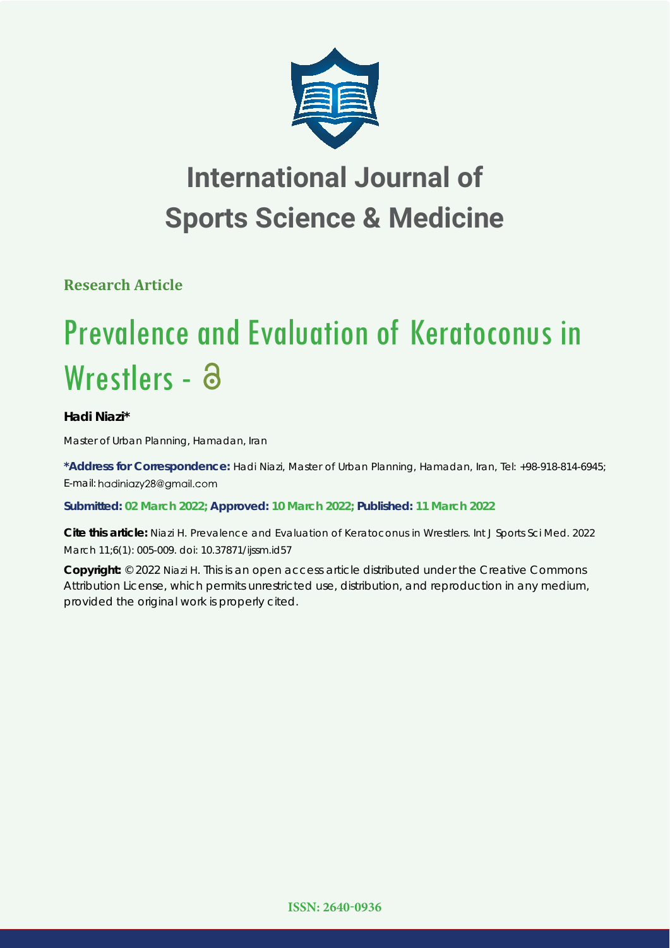

## **International Journal of Sports Science & Medicine**

**Research Article**

# Prevalence and Evaluation of Keratoconus in Wrestlers - a

### **Hadi Niazi\***

*Master of Urban Planning, Hamadan, Iran*

**\*Address for Correspondence:** Hadi Niazi, Master of Urban Planning, Hamadan, Iran, Tel: +98-918-814-6945; E-mail: hadiniazy28@gmail.com

**Submitted: 02 March 2022; Approved: 10 March 2022; Published: 11 March 2022**

**Cite this article:** Niazi H. Prevalence and Evaluation of Keratoconus in Wrestlers. Int J Sports Sci Med. 2022 March 11;6(1): 005-009. doi: 10.37871/ijssm.id57

**Copyright:** © 2022 Niazi H. This is an open access article distributed under the Creative Commons Attribution License, which permits unrestricted use, distribution, and reproduction in any medium, provided the original work is properly cited.

**ISSN: 2640-0936**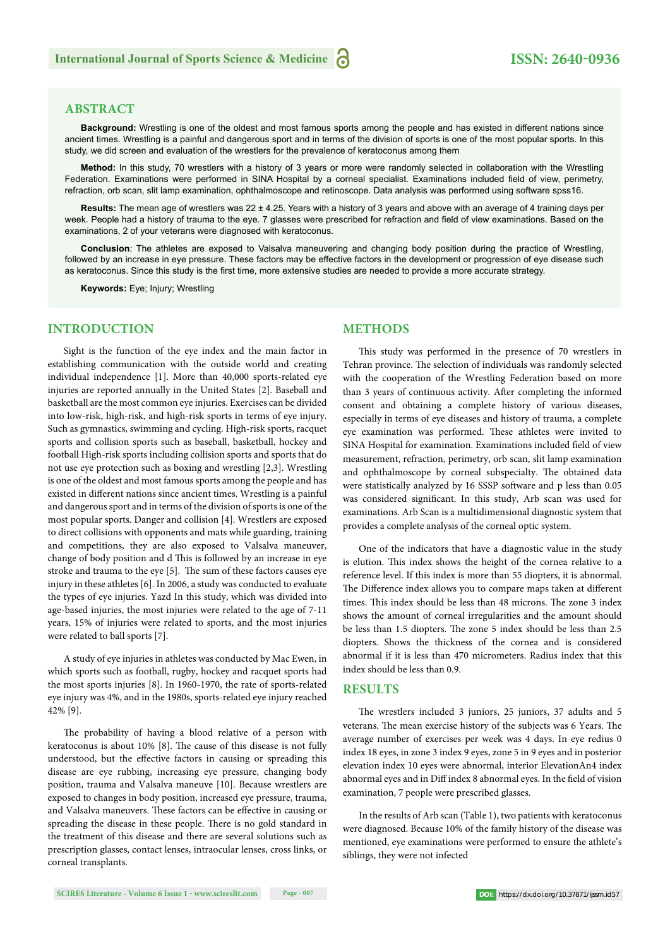#### **ABSTRACT**

Background: Wrestling is one of the oldest and most famous sports among the people and has existed in different nations since ancient times. Wrestling is a painful and dangerous sport and in terms of the division of sports is one of the most popular sports. In this study, we did screen and evaluation of the wrestlers for the prevalence of keratoconus among them

**Method:** In this study, 70 wrestlers with a history of 3 years or more were randomly selected in collaboration with the Wrestling Federation. Examinations were performed in SINA Hospital by a corneal specialist. Examinations included field of view, perimetry, refraction, orb scan, slit lamp examination, ophthalmoscope and retinoscope. Data analysis was performed using software spss16.

**Results:** The mean age of wrestlers was 22 ± 4.25. Years with a history of 3 years and above with an average of 4 training days per week. People had a history of trauma to the eye. 7 glasses were prescribed for refraction and field of view examinations. Based on the examinations, 2 of your veterans were diagnosed with keratoconus.

**Conclusion**: The athletes are exposed to Valsalva maneuvering and changing body position during the practice of Wrestling, followed by an increase in eye pressure. These factors may be effective factors in the development or progression of eye disease such as keratoconus. Since this study is the first time, more extensive studies are needed to provide a more accurate strategy.

**Keywords:** Eye; Injury; Wrestling

#### **INTRODUCTION**

Sight is the function of the eye index and the main factor in establishing communication with the outside world and creating individual independence [1]. More than 40,000 sports-related eye injuries are reported annually in the United States [2]. Baseball and basketball are the most common eye injuries. Exercises can be divided into low-risk, high-risk, and high-risk sports in terms of eye injury. Such as gymnastics, swimming and cycling. High-risk sports, racquet sports and collision sports such as baseball, basketball, hockey and football High-risk sports including collision sports and sports that do not use eye protection such as boxing and wrestling [2,3]. Wrestling is one of the oldest and most famous sports among the people and has existed in different nations since ancient times. Wrestling is a painful and dangerous sport and in terms of the division of sports is one of the most popular sports. Danger and collision [4]. Wrestlers are exposed to direct collisions with opponents and mats while guarding, training and competitions, they are also exposed to Valsalva maneuver, change of body position and d This is followed by an increase in eye stroke and trauma to the eye [5]. The sum of these factors causes eye injury in these athletes [6]. In 2006, a study was conducted to evaluate the types of eye injuries. Yazd In this study, which was divided into age-based injuries, the most injuries were related to the age of 7-11 years, 15% of injuries were related to sports, and the most injuries were related to ball sports [7].

A study of eye injuries in athletes was conducted by Mac Ewen, in which sports such as football, rugby, hockey and racquet sports had the most sports injuries [8]. In 1960-1970, the rate of sports-related eye injury was 4%, and in the 1980s, sports-related eye injury reached 42% [9].

The probability of having a blood relative of a person with keratoconus is about  $10\%$  [8]. The cause of this disease is not fully understood, but the effective factors in causing or spreading this disease are eye rubbing, increasing eye pressure, changing body position, trauma and Valsalva maneuve [10]. Because wrestlers are exposed to changes in body position, increased eye pressure, trauma, and Valsalva maneuvers. These factors can be effective in causing or spreading the disease in these people. There is no gold standard in the treatment of this disease and there are several solutions such as prescription glasses, contact lenses, intraocular lenses, cross links, or corneal transplants.

#### **METHODS**

This study was performed in the presence of 70 wrestlers in Tehran province. The selection of individuals was randomly selected with the cooperation of the Wrestling Federation based on more than 3 years of continuous activity. After completing the informed consent and obtaining a complete history of various diseases, especially in terms of eye diseases and history of trauma, a complete eye examination was performed. These athletes were invited to SINA Hospital for examination. Examinations included field of view measurement, refraction, perimetry, orb scan, slit lamp examination and ophthalmoscope by corneal subspecialty. The obtained data were statistically analyzed by 16 SSSP software and p less than 0.05 was considered significant. In this study, Arb scan was used for examinations. Arb Scan is a multidimensional diagnostic system that provides a complete analysis of the corneal optic system.

One of the indicators that have a diagnostic value in the study is elution. This index shows the height of the cornea relative to a reference level. If this index is more than 55 diopters, it is abnormal. The Difference index allows you to compare maps taken at different times. This index should be less than 48 microns. The zone 3 index shows the amount of corneal irregularities and the amount should be less than 1.5 diopters. The zone 5 index should be less than 2.5 diopters. Shows the thickness of the cornea and is considered abnormal if it is less than 470 micrometers. Radius index that this index should be less than 0.9.

#### **RESULTS**

The wrestlers included 3 juniors, 25 juniors, 37 adults and 5 veterans. The mean exercise history of the subjects was 6 Years. The average number of exercises per week was 4 days. In eye redius 0 index 18 eyes, in zone 3 index 9 eyes, zone 5 in 9 eyes and in posterior elevation index 10 eyes were abnormal, interior ElevationAn4 index abnormal eyes and in Diff index 8 abnormal eyes. In the field of vision examination, 7 people were prescribed glasses.

In the results of Arb scan (Table 1), two patients with keratoconus were diagnosed. Because 10% of the family history of the disease was mentioned, eye examinations were performed to ensure the athlete's siblings, they were not infected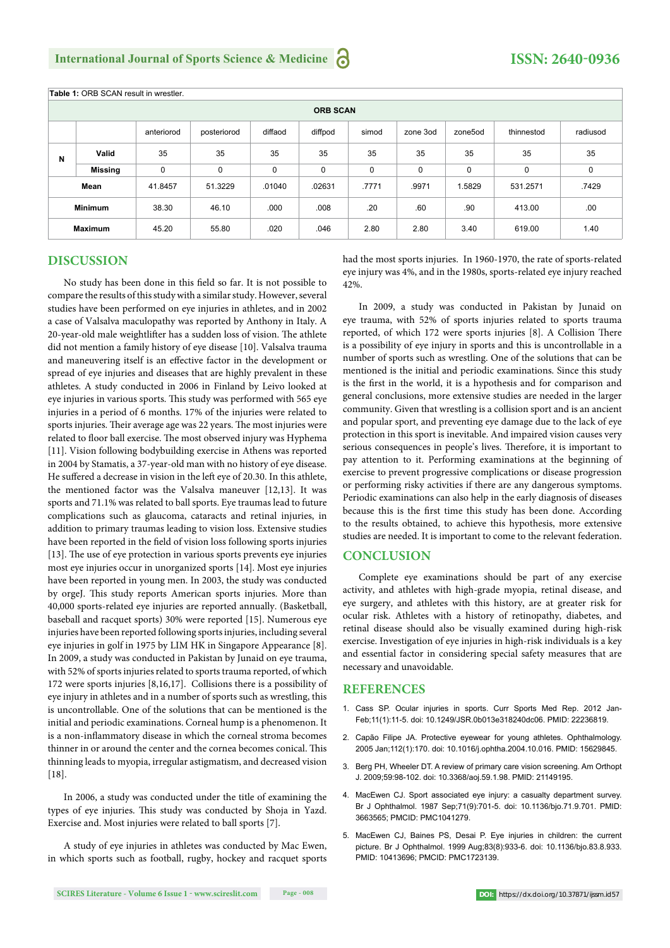| <b>Table 1: ORB SCAN result in wrestler.</b> |         |            |             |             |         |       |          |         |            |          |
|----------------------------------------------|---------|------------|-------------|-------------|---------|-------|----------|---------|------------|----------|
| <b>ORB SCAN</b>                              |         |            |             |             |         |       |          |         |            |          |
|                                              |         | anteriorod | posteriorod | diffaod     | diffpod | simod | zone 3od | zone5od | thinnestod | radiusod |
| N                                            | Valid   | 35         | 35          | 35          | 35      | 35    | 35       | 35      | 35         | 35       |
|                                              | Missing | 0          | 0           | $\mathbf 0$ | 0       | 0     | 0        | 0       | 0          | 0        |
| Mean                                         |         | 41.8457    | 51.3229     | .01040      | .02631  | .7771 | .9971    | 1.5829  | 531.2571   | .7429    |
| <b>Minimum</b>                               |         | 38.30      | 46.10       | .000        | .008    | .20   | .60      | .90     | 413.00     | .00      |
| <b>Maximum</b>                               |         | 45.20      | 55.80       | .020        | .046    | 2.80  | 2.80     | 3.40    | 619.00     | 1.40     |

#### **DISCUSSION**

No study has been done in this field so far. It is not possible to compare the results of this study with a similar study. However, several studies have been performed on eye injuries in athletes, and in 2002 a case of Valsalva maculopathy was reported by Anthony in Italy. A 20-year-old male weightlifter has a sudden loss of vision. The athlete did not mention a family history of eye disease [10]. Valsalva trauma and maneuvering itself is an effective factor in the development or spread of eye injuries and diseases that are highly prevalent in these athletes. A study conducted in 2006 in Finland by Leivo looked at eye injuries in various sports. This study was performed with 565 eye injuries in a period of 6 months. 17% of the injuries were related to sports injuries. Their average age was 22 years. The most injuries were related to floor ball exercise. The most observed injury was Hyphema [11]. Vision following bodybuilding exercise in Athens was reported in 2004 by Stamatis, a 37-year-old man with no history of eye disease. He suffered a decrease in vision in the left eye of 20.30. In this athlete, the mentioned factor was the Valsalva maneuver [12,13]. It was sports and 71.1% was related to ball sports. Eye traumas lead to future complications such as glaucoma, cataracts and retinal injuries, in addition to primary traumas leading to vision loss. Extensive studies have been reported in the field of vision loss following sports injuries  $[13]$ . The use of eye protection in various sports prevents eye injuries most eye injuries occur in unorganized sports [14]. Most eye injuries have been reported in young men. In 2003, the study was conducted by orgeJ. This study reports American sports injuries. More than 40,000 sports-related eye injuries are reported annually. (Basketball, baseball and racquet sports) 30% were reported [15]. Numerous eye injuries have been reported following sports injuries, including several eye injuries in golf in 1975 by LIM HK in Singapore Appearance [8]. In 2009, a study was conducted in Pakistan by Junaid on eye trauma, with 52% of sports injuries related to sports trauma reported, of which 172 were sports injuries [8,16,17]. Collisions there is a possibility of eye injury in athletes and in a number of sports such as wrestling, this is uncontrollable. One of the solutions that can be mentioned is the initial and periodic examinations. Corneal hump is a phenomenon. It is a non-inflammatory disease in which the corneal stroma becomes thinner in or around the center and the cornea becomes conical. This thinning leads to myopia, irregular astigmatism, and decreased vision [18].

In 2006, a study was conducted under the title of examining the types of eye injuries. This study was conducted by Shoja in Yazd. Exercise and. Most injuries were related to ball sports [7].

A study of eye injuries in athletes was conducted by Mac Ewen, in which sports such as football, rugby, hockey and racquet sports had the most sports injuries. In 1960-1970, the rate of sports-related eye injury was 4%, and in the 1980s, sports-related eye injury reached 42%.

In 2009, a study was conducted in Pakistan by Junaid on eye trauma, with 52% of sports injuries related to sports trauma reported, of which 172 were sports injuries [8]. A Collision There is a possibility of eye injury in sports and this is uncontrollable in a number of sports such as wrestling. One of the solutions that can be mentioned is the initial and periodic examinations. Since this study is the first in the world, it is a hypothesis and for comparison and general conclusions, more extensive studies are needed in the larger community. Given that wrestling is a collision sport and is an ancient and popular sport, and preventing eye damage due to the lack of eye protection in this sport is inevitable. And impaired vision causes very serious consequences in people's lives. Therefore, it is important to pay attention to it. Performing examinations at the beginning of exercise to prevent progressive complications or disease progression or performing risky activities if there are any dangerous symptoms. Periodic examinations can also help in the early diagnosis of diseases because this is the first time this study has been done. According to the results obtained, to achieve this hypothesis, more extensive studies are needed. It is important to come to the relevant federation.

#### **CONCLUSION**

Complete eye examinations should be part of any exercise activity, and athletes with high-grade myopia, retinal disease, and eye surgery, and athletes with this history, are at greater risk for ocular risk. Athletes with a history of retinopathy, diabetes, and retinal disease should also be visually examined during high-risk exercise. Investigation of eye injuries in high-risk individuals is a key and essential factor in considering special safety measures that are necessary and unavoidable.

#### **REFERENCES**

- 1. Cass SP. Ocular injuries in sports. Curr Sports Med Rep. 2012 Jan-Feb;11(1):11-5. doi: 10.1249/JSR.0b013e318240dc06. PMID: 22236819.
- 2. Capão Filipe JA. Protective eyewear for young athletes. Ophthalmology. 2005 Jan;112(1):170. doi: 10.1016/j.ophtha.2004.10.016. PMID: 15629845.
- 3. Berg PH, Wheeler DT. A review of primary care vision screening. Am Orthopt J. 2009;59:98-102. doi: 10.3368/aoj.59.1.98. PMID: 21149195.
- 4. MacEwen CJ. Sport associated eye injury: a casualty department survey. Br J Ophthalmol. 1987 Sep;71(9):701-5. doi: 10.1136/bjo.71.9.701. PMID: 3663565; PMCID: PMC1041279.
- 5. MacEwen CJ, Baines PS, Desai P. Eye injuries in children: the current picture. Br J Ophthalmol. 1999 Aug;83(8):933-6. doi: 10.1136/bjo.83.8.933. PMID: 10413696; PMCID: PMC1723139.